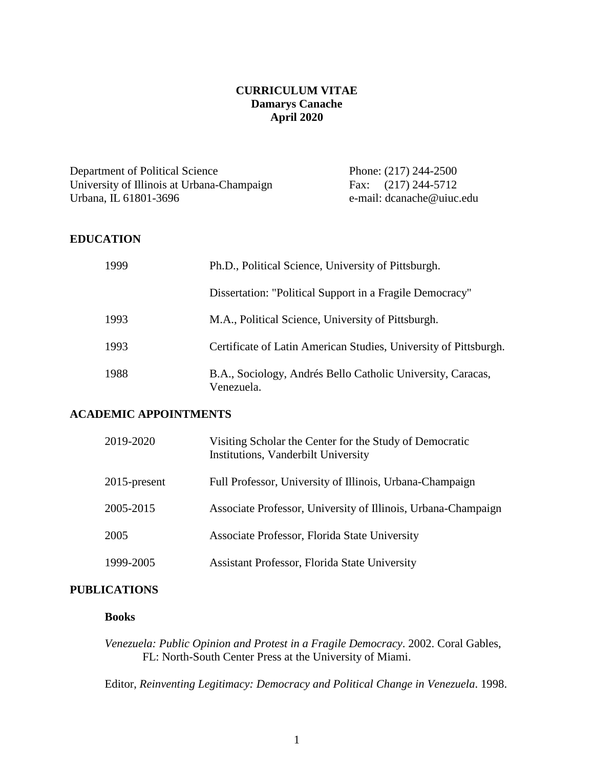# **CURRICULUM VITAE Damarys Canache April 2020**

Department of Political Science<br>
University of Illinois at Urbana-Champaign<br>
Fax: (217) 244-5712 University of Illinois at Urbana-Champaign Urbana, IL 61801-3696 e-mail: dcanache@uiuc.edu

#### **EDUCATION**

| 1999 | Ph.D., Political Science, University of Pittsburgh.                       |
|------|---------------------------------------------------------------------------|
|      | Dissertation: "Political Support in a Fragile Democracy"                  |
| 1993 | M.A., Political Science, University of Pittsburgh.                        |
| 1993 | Certificate of Latin American Studies, University of Pittsburgh.          |
| 1988 | B.A., Sociology, Andrés Bello Catholic University, Caracas,<br>Venezuela. |

#### **ACADEMIC APPOINTMENTS**

| 2019-2020    | Visiting Scholar the Center for the Study of Democratic<br>Institutions, Vanderbilt University |
|--------------|------------------------------------------------------------------------------------------------|
| 2015-present | Full Professor, University of Illinois, Urbana-Champaign                                       |
| 2005-2015    | Associate Professor, University of Illinois, Urbana-Champaign                                  |
| 2005         | Associate Professor, Florida State University                                                  |
| 1999-2005    | Assistant Professor, Florida State University                                                  |

### **PUBLICATIONS**

## **Books**

*Venezuela: Public Opinion and Protest in a Fragile Democracy*. 2002. Coral Gables, FL: North-South Center Press at the University of Miami.

Editor, *Reinventing Legitimacy: Democracy and Political Change in Venezuela*. 1998.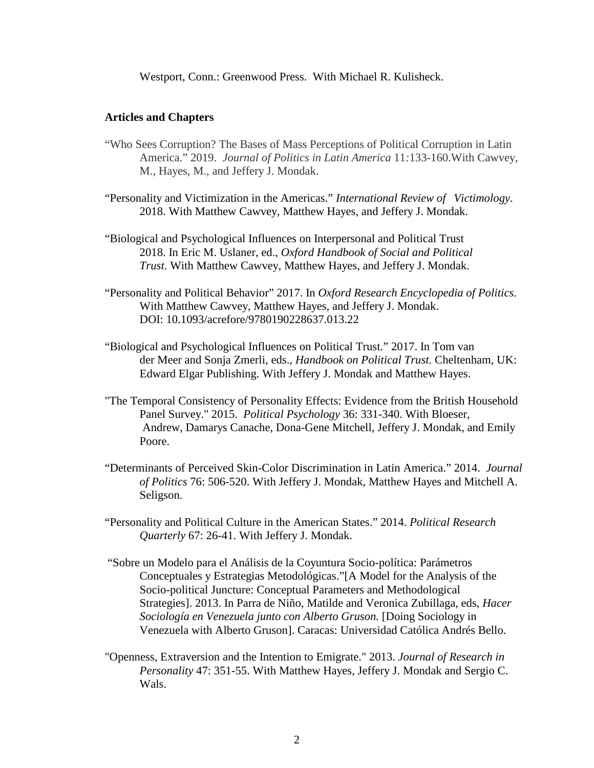Westport, Conn.: Greenwood Press. With Michael R. Kulisheck.

#### **Articles and Chapters**

- "Who Sees Corruption? The Bases of Mass Perceptions of Political Corruption in Latin America." 2019. *Journal of Politics in Latin America* 11*:*133-160.With Cawvey, M., Hayes, M., and Jeffery J. Mondak.
- "Personality and Victimization in the Americas." *International Review of Victimology*. 2018. With Matthew Cawvey, Matthew Hayes, and Jeffery J. Mondak.
- "Biological and Psychological Influences on Interpersonal and Political Trust 2018. In Eric M. Uslaner, ed., *Oxford Handbook of Social and Political Trust*. With Matthew Cawvey, Matthew Hayes, and Jeffery J. Mondak.
- "Personality and Political Behavior" 2017. In *Oxford Research Encyclopedia of Politics*. With Matthew Cawvey, Matthew Hayes, and Jeffery J. Mondak. DOI: 10.1093/acrefore/9780190228637.013.22
- "Biological and Psychological Influences on Political Trust." 2017. In Tom van der Meer and Sonja Zmerli, eds., *Handbook on Political Trust*. Cheltenham, UK: Edward Elgar Publishing. With Jeffery J. Mondak and Matthew Hayes.
- "The Temporal Consistency of Personality Effects: Evidence from the British Household Panel Survey." 2015. *Political Psychology* 36: 331-340. With Bloeser, Andrew, Damarys Canache, Dona-Gene Mitchell, Jeffery J. Mondak, and Emily Poore.
- "Determinants of Perceived Skin-Color Discrimination in Latin America." 2014. *Journal of Politics* 76: 506-520. With Jeffery J. Mondak, Matthew Hayes and Mitchell A. Seligson.
- "Personality and Political Culture in the American States." 2014. *Political Research Quarterly* 67: 26-41. With Jeffery J. Mondak.
- "Sobre un Modelo para el Análisis de la Coyuntura Socio-política: Parámetros Conceptuales y Estrategias Metodológicas."[A Model for the Analysis of the Socio-political Juncture: Conceptual Parameters and Methodological Strategies]. 2013. In Parra de Niño, Matilde and Veronica Zubillaga, eds, *Hacer Sociología en Venezuela junto con Alberto Gruson.* [Doing Sociology in Venezuela with Alberto Gruson]. Caracas: Universidad Católica Andrés Bello.
- "Openness, Extraversion and the Intention to Emigrate." 2013. *Journal of Research in Personality* 47: 351-55. With Matthew Hayes, Jeffery J. Mondak and Sergio C. Wals.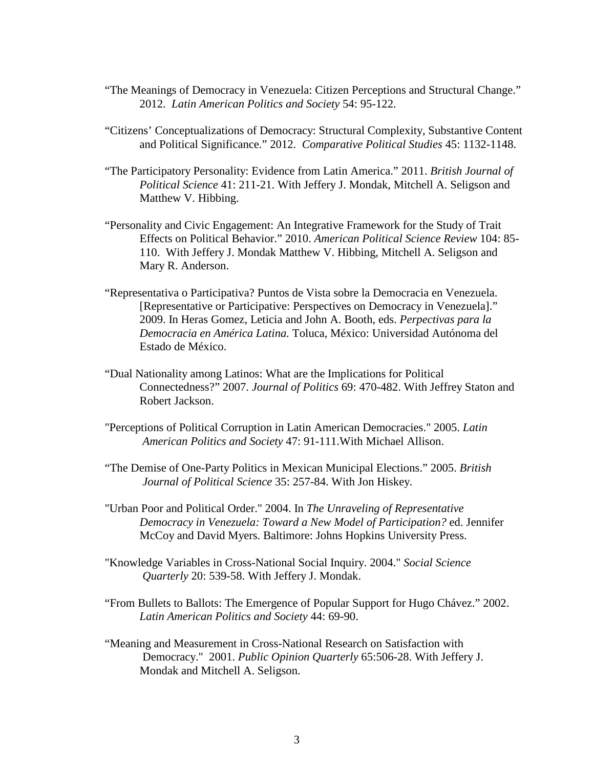- "The Meanings of Democracy in Venezuela: Citizen Perceptions and Structural Change." 2012. *Latin American Politics and Society* 54: 95-122.
- "Citizens' Conceptualizations of Democracy: Structural Complexity, Substantive Content and Political Significance." 2012. *Comparative Political Studies* 45: 1132-1148.
- "The Participatory Personality: Evidence from Latin America." 2011. *British Journal of Political Science* 41: 211-21. With Jeffery J. Mondak, Mitchell A. Seligson and Matthew V. Hibbing.
- "Personality and Civic Engagement: An Integrative Framework for the Study of Trait Effects on Political Behavior." 2010. *American Political Science Review* 104: 85- 110. With Jeffery J. Mondak Matthew V. Hibbing, Mitchell A. Seligson and Mary R. Anderson.
- "Representativa o Participativa? Puntos de Vista sobre la Democracia en Venezuela. [Representative or Participative: Perspectives on Democracy in Venezuela]." 2009. In Heras Gomez, Leticia and John A. Booth, eds. *Perpectivas para la Democracia en América Latina.* Toluca, México: Universidad Autónoma del Estado de México.
- "Dual Nationality among Latinos: What are the Implications for Political Connectedness?" 2007. *Journal of Politics* 69: 470-482. With Jeffrey Staton and Robert Jackson.
- "Perceptions of Political Corruption in Latin American Democracies." 2005. *Latin American Politics and Society* 47: 91-111.With Michael Allison.
- "The Demise of One-Party Politics in Mexican Municipal Elections." 2005. *British Journal of Political Science* 35: 257-84. With Jon Hiskey.
- "Urban Poor and Political Order." 2004. In *The Unraveling of Representative Democracy in Venezuela: Toward a New Model of Participation?* ed. Jennifer McCoy and David Myers. Baltimore: Johns Hopkins University Press.
- "Knowledge Variables in Cross-National Social Inquiry. 2004." *Social Science Quarterly* 20: 539-58. With Jeffery J. Mondak.
- "From Bullets to Ballots: The Emergence of Popular Support for Hugo Chávez." 2002. *Latin American Politics and Society* 44: 69-90.
- "Meaning and Measurement in Cross-National Research on Satisfaction with Democracy." 2001. *Public Opinion Quarterly* 65:506-28. With Jeffery J. Mondak and Mitchell A. Seligson.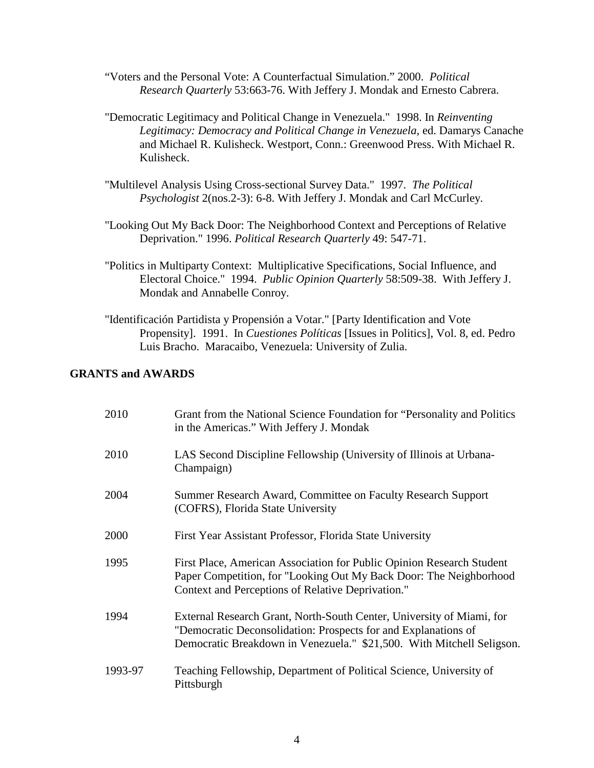- "Voters and the Personal Vote: A Counterfactual Simulation." 2000. *Political Research Quarterly* 53:663-76. With Jeffery J. Mondak and Ernesto Cabrera.
- "Democratic Legitimacy and Political Change in Venezuela." 1998. In *Reinventing Legitimacy: Democracy and Political Change in Venezuela*, ed. Damarys Canache and Michael R. Kulisheck. Westport, Conn.: Greenwood Press. With Michael R. Kulisheck.
- "Multilevel Analysis Using Cross-sectional Survey Data." 1997. *The Political Psychologist* 2(nos.2-3): 6-8. With Jeffery J. Mondak and Carl McCurley.
- "Looking Out My Back Door: The Neighborhood Context and Perceptions of Relative Deprivation." 1996. *Political Research Quarterly* 49: 547-71.
- "Politics in Multiparty Context: Multiplicative Specifications, Social Influence, and Electoral Choice." 1994. *Public Opinion Quarterly* 58:509-38. With Jeffery J. Mondak and Annabelle Conroy.
- "Identificación Partidista y Propensión a Votar." [Party Identification and Vote Propensity]. 1991. In *Cuestiones Políticas* [Issues in Politics], Vol. 8, ed. Pedro Luis Bracho. Maracaibo, Venezuela: University of Zulia.

# **GRANTS and AWARDS**

| 2010    | Grant from the National Science Foundation for "Personality and Politics"<br>in the Americas." With Jeffery J. Mondak                                                                                            |
|---------|------------------------------------------------------------------------------------------------------------------------------------------------------------------------------------------------------------------|
| 2010    | LAS Second Discipline Fellowship (University of Illinois at Urbana-<br>Champaign)                                                                                                                                |
| 2004    | Summer Research Award, Committee on Faculty Research Support<br>(COFRS), Florida State University                                                                                                                |
| 2000    | First Year Assistant Professor, Florida State University                                                                                                                                                         |
| 1995    | First Place, American Association for Public Opinion Research Student<br>Paper Competition, for "Looking Out My Back Door: The Neighborhood<br>Context and Perceptions of Relative Deprivation."                 |
| 1994    | External Research Grant, North-South Center, University of Miami, for<br>"Democratic Deconsolidation: Prospects for and Explanations of<br>Democratic Breakdown in Venezuela." \$21,500. With Mitchell Seligson. |
| 1993-97 | Teaching Fellowship, Department of Political Science, University of<br>Pittsburgh                                                                                                                                |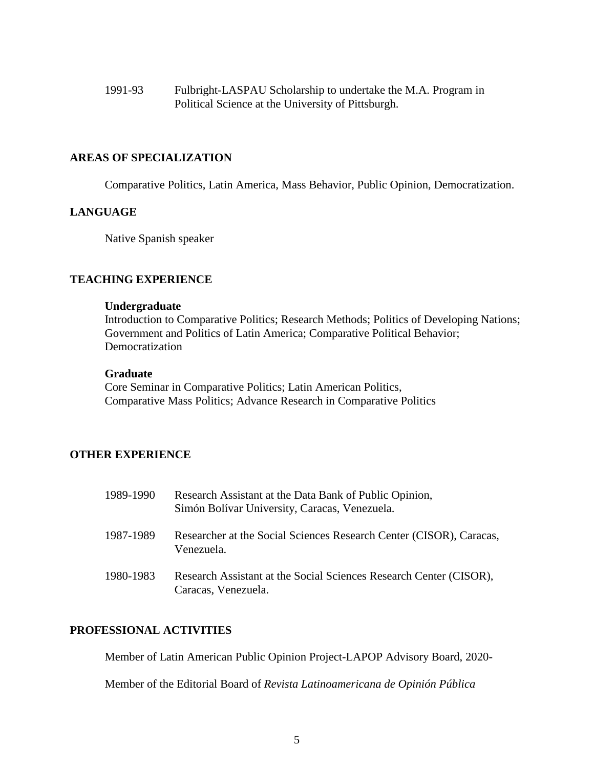1991-93 Fulbright-LASPAU Scholarship to undertake the M.A. Program in Political Science at the University of Pittsburgh.

### **AREAS OF SPECIALIZATION**

Comparative Politics, Latin America, Mass Behavior, Public Opinion, Democratization.

### **LANGUAGE**

Native Spanish speaker

# **TEACHING EXPERIENCE**

#### **Undergraduate**

Introduction to Comparative Politics; Research Methods; Politics of Developing Nations; Government and Politics of Latin America; Comparative Political Behavior; Democratization

# **Graduate**

Core Seminar in Comparative Politics; Latin American Politics, Comparative Mass Politics; Advance Research in Comparative Politics

# **OTHER EXPERIENCE**

| 1989-1990 | Research Assistant at the Data Bank of Public Opinion,<br>Simón Bolívar University, Caracas, Venezuela. |
|-----------|---------------------------------------------------------------------------------------------------------|
| 1987-1989 | Researcher at the Social Sciences Research Center (CISOR), Caracas,<br>Venezuela.                       |
| 1980-1983 | Research Assistant at the Social Sciences Research Center (CISOR),<br>Caracas, Venezuela.               |

# **PROFESSIONAL ACTIVITIES**

Member of Latin American Public Opinion Project-LAPOP Advisory Board, 2020-

Member of the Editorial Board of *Revista Latinoamericana de Opinión Pública*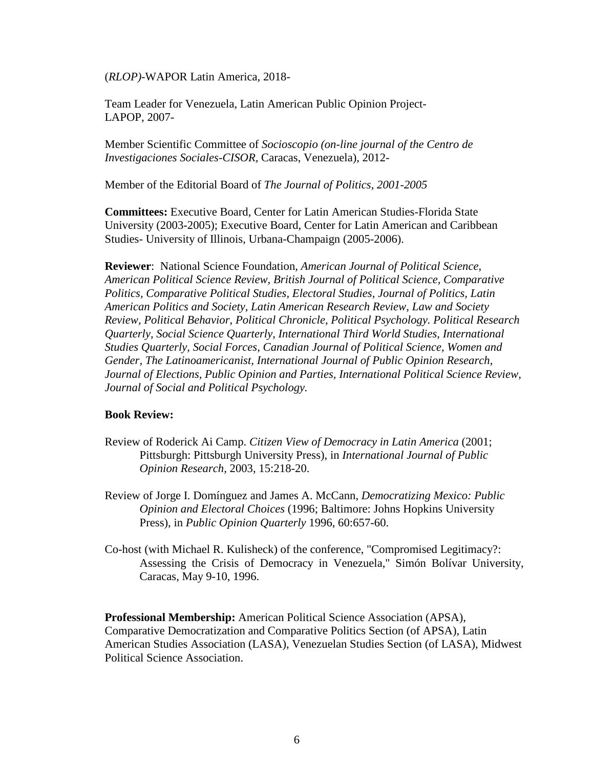(*RLOP)-*WAPOR Latin America*,* 2018-

Team Leader for Venezuela, Latin American Public Opinion Project-LAPOP, 2007-

Member Scientific Committee of *Socioscopio (on-line journal of the Centro de Investigaciones Sociales-CISOR,* Caracas, Venezuela), 2012-

Member of the Editorial Board of *The Journal of Politics, 2001-2005*

**Committees:** Executive Board, Center for Latin American Studies-Florida State University (2003-2005); Executive Board, Center for Latin American and Caribbean Studies- University of Illinois, Urbana-Champaign (2005-2006).

**Reviewer**: National Science Foundation, *American Journal of Political Science*, *American Political Science Review, British Journal of Political Science, Comparative Politics, Comparative Political Studies, Electoral Studies, Journal of Politics, Latin American Politics and Society, Latin American Research Review, Law and Society Review, Political Behavior, Political Chronicle, Political Psychology. Political Research Quarterly, Social Science Quarterly, International Third World Studies, International Studies Quarterly*, *Social Forces, Canadian Journal of Political Science, Women and Gender, The Latinoamericanist, International Journal of Public Opinion Research, Journal of Elections, Public Opinion and Parties, International Political Science Review, Journal of Social and Political Psychology.*

#### **Book Review:**

- Review of Roderick Ai Camp. *Citizen View of Democracy in Latin America* (2001; Pittsburgh: Pittsburgh University Press), in *International Journal of Public Opinion Research,* 2003, 15:218-20.
- Review of Jorge I. Domínguez and James A. McCann, *Democratizing Mexico: Public Opinion and Electoral Choices* (1996; Baltimore: Johns Hopkins University Press), in *Public Opinion Quarterly* 1996, 60:657-60.
- Co-host (with Michael R. Kulisheck) of the conference, "Compromised Legitimacy?: Assessing the Crisis of Democracy in Venezuela," Simón Bolívar University, Caracas, May 9-10, 1996.

**Professional Membership:** American Political Science Association (APSA), Comparative Democratization and Comparative Politics Section (of APSA), Latin American Studies Association (LASA), Venezuelan Studies Section (of LASA), Midwest Political Science Association.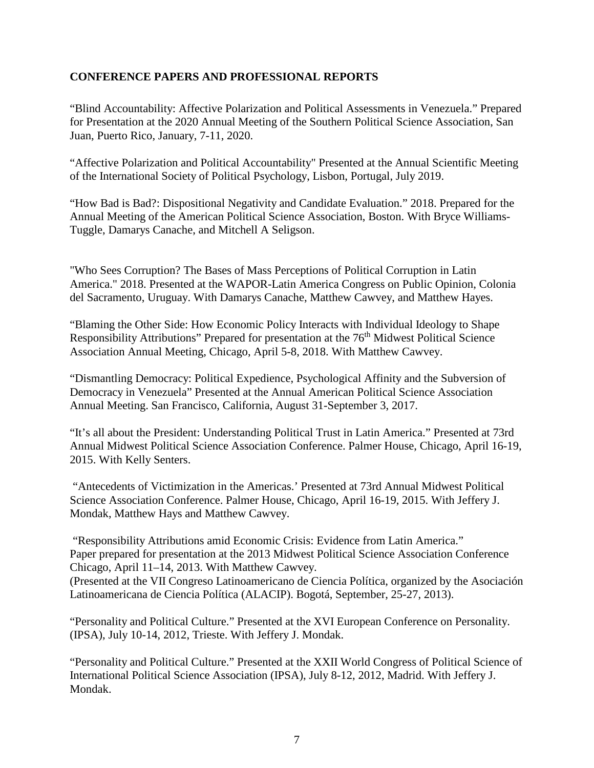# **CONFERENCE PAPERS AND PROFESSIONAL REPORTS**

"Blind Accountability: Affective Polarization and Political Assessments in Venezuela." Prepared for Presentation at the 2020 Annual Meeting of the Southern Political Science Association, San Juan, Puerto Rico, January, 7-11, 2020.

"Affective Polarization and Political Accountability" Presented at the Annual Scientific Meeting of the International Society of Political Psychology, Lisbon, Portugal, July 2019.

"How Bad is Bad?: Dispositional Negativity and Candidate Evaluation." 2018. Prepared for the Annual Meeting of the American Political Science Association, Boston. With Bryce Williams-Tuggle, Damarys Canache, and Mitchell A Seligson.

"Who Sees Corruption? The Bases of Mass Perceptions of Political Corruption in Latin America." 2018. Presented at the WAPOR-Latin America Congress on Public Opinion, Colonia del Sacramento, Uruguay. With Damarys Canache, Matthew Cawvey, and Matthew Hayes.

"Blaming the Other Side: How Economic Policy Interacts with Individual Ideology to Shape Responsibility Attributions" Prepared for presentation at the 76<sup>th</sup> Midwest Political Science Association Annual Meeting, Chicago, April 5-8, 2018. With Matthew Cawvey.

"Dismantling Democracy: Political Expedience, Psychological Affinity and the Subversion of Democracy in Venezuela" Presented at the Annual American Political Science Association Annual Meeting. San Francisco, California, August 31-September 3, 2017.

"It's all about the President: Understanding Political Trust in Latin America." Presented at 73rd Annual Midwest Political Science Association Conference. Palmer House, Chicago, April 16-19, 2015. With Kelly Senters.

"Antecedents of Victimization in the Americas.' Presented at 73rd Annual Midwest Political Science Association Conference. Palmer House, Chicago, April 16-19, 2015. With Jeffery J. Mondak, Matthew Hays and Matthew Cawvey.

"Responsibility Attributions amid Economic Crisis: Evidence from Latin America." Paper prepared for presentation at the 2013 Midwest Political Science Association Conference Chicago, April 11–14, 2013. With Matthew Cawvey.

(Presented at the VII Congreso Latinoamericano de Ciencia Política, organized by the Asociación Latinoamericana de Ciencia Política (ALACIP). Bogotá, September, 25-27, 2013).

"Personality and Political Culture." Presented at the XVI European Conference on Personality. (IPSA), July 10-14, 2012, Trieste. With Jeffery J. Mondak.

"Personality and Political Culture." Presented at the XXII World Congress of Political Science of International Political Science Association (IPSA), July 8-12, 2012, Madrid. With Jeffery J. Mondak.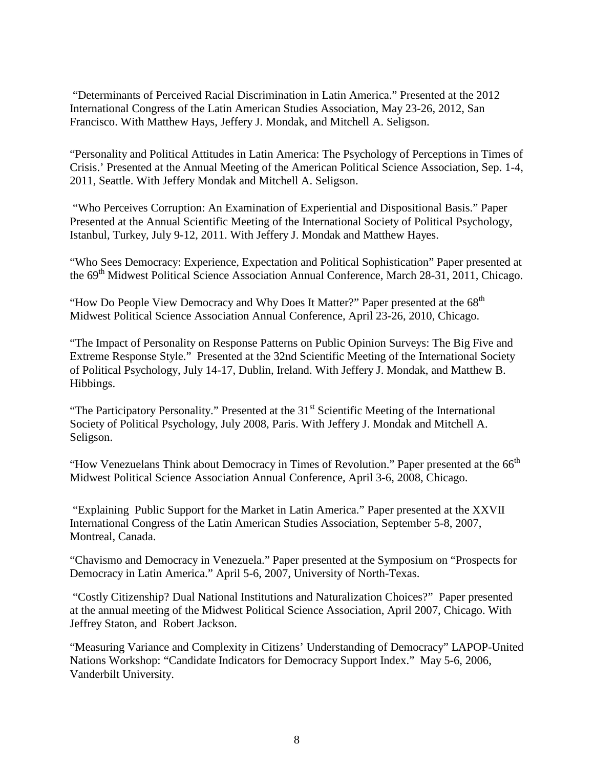"Determinants of Perceived Racial Discrimination in Latin America." Presented at the 2012 International Congress of the Latin American Studies Association, May 23-26, 2012, San Francisco. With Matthew Hays, Jeffery J. Mondak, and Mitchell A. Seligson.

"Personality and Political Attitudes in Latin America: The Psychology of Perceptions in Times of Crisis.' Presented at the Annual Meeting of the American Political Science Association, Sep. 1-4, 2011, Seattle. With Jeffery Mondak and Mitchell A. Seligson.

"Who Perceives Corruption: An Examination of Experiential and Dispositional Basis." Paper Presented at the Annual Scientific Meeting of the International Society of Political Psychology, Istanbul, Turkey, July 9-12, 2011. With Jeffery J. Mondak and Matthew Hayes.

"Who Sees Democracy: Experience, Expectation and Political Sophistication" Paper presented at the 69<sup>th</sup> Midwest Political Science Association Annual Conference, March 28-31, 2011, Chicago.

"How Do People View Democracy and Why Does It Matter?" Paper presented at the 68<sup>th</sup> Midwest Political Science Association Annual Conference, April 23-26, 2010, Chicago.

"The Impact of Personality on Response Patterns on Public Opinion Surveys: The Big Five and Extreme Response Style." Presented at the 32nd Scientific Meeting of the International Society of Political Psychology, July 14-17, Dublin, Ireland. With Jeffery J. Mondak, and Matthew B. Hibbings.

"The Participatory Personality." Presented at the 31<sup>st</sup> Scientific Meeting of the International Society of Political Psychology, July 2008, Paris. With Jeffery J. Mondak and Mitchell A. Seligson.

"How Venezuelans Think about Democracy in Times of Revolution." Paper presented at the 66<sup>th</sup> Midwest Political Science Association Annual Conference, April 3-6, 2008, Chicago.

"Explaining Public Support for the Market in Latin America." Paper presented at the XXVII International Congress of the Latin American Studies Association, September 5-8, 2007, Montreal, Canada.

"Chavismo and Democracy in Venezuela." Paper presented at the Symposium on "Prospects for Democracy in Latin America." April 5-6, 2007, University of North-Texas.

"Costly Citizenship? Dual National Institutions and Naturalization Choices?" Paper presented at the annual meeting of the Midwest Political Science Association, April 2007, Chicago. With Jeffrey Staton, and Robert Jackson.

"Measuring Variance and Complexity in Citizens' Understanding of Democracy" LAPOP-United Nations Workshop: "Candidate Indicators for Democracy Support Index." May 5-6, 2006, Vanderbilt University.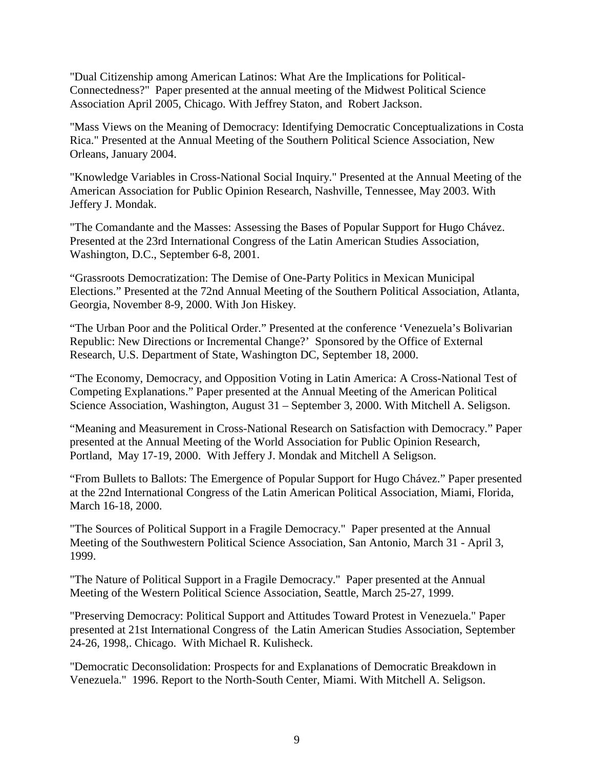["Dual Citizenship among American Latinos: What Are the Implications for Political-](http://archive.allacademic.com/publication/getfile.php?file=docs/mpsa_proceeding/2005-03-28/63395/mpsa_proceeding_63395.PDF&PHPSESSID=9475d75ab7d91f97577db00a3d3b9702)[Connectedness?"](http://archive.allacademic.com/publication/getfile.php?file=docs/mpsa_proceeding/2005-03-28/63395/mpsa_proceeding_63395.PDF&PHPSESSID=9475d75ab7d91f97577db00a3d3b9702) Paper presented at the annual meeting of the Midwest Political Science Association April 2005, Chicago. With Jeffrey Staton, and Robert Jackson.

"Mass Views on the Meaning of Democracy: Identifying Democratic Conceptualizations in Costa Rica." Presented at the Annual Meeting of the Southern Political Science Association, New Orleans, January 2004.

"Knowledge Variables in Cross-National Social Inquiry." Presented at the Annual Meeting of the American Association for Public Opinion Research, Nashville, Tennessee, May 2003. With Jeffery J. Mondak.

"The Comandante and the Masses: Assessing the Bases of Popular Support for Hugo Chávez. Presented at the 23rd International Congress of the Latin American Studies Association, Washington, D.C., September 6-8, 2001.

"Grassroots Democratization: The Demise of One-Party Politics in Mexican Municipal Elections." Presented at the 72nd Annual Meeting of the Southern Political Association, Atlanta, Georgia, November 8-9, 2000. With Jon Hiskey.

"The Urban Poor and the Political Order." Presented at the conference 'Venezuela's Bolivarian Republic: New Directions or Incremental Change?' Sponsored by the Office of External Research, U.S. Department of State, Washington DC, September 18, 2000.

"The Economy, Democracy, and Opposition Voting in Latin America: A Cross-National Test of Competing Explanations." Paper presented at the Annual Meeting of the American Political Science Association, Washington, August 31 – September 3, 2000. With Mitchell A. Seligson.

"Meaning and Measurement in Cross-National Research on Satisfaction with Democracy." Paper presented at the Annual Meeting of the World Association for Public Opinion Research, Portland, May 17-19, 2000. With Jeffery J. Mondak and Mitchell A Seligson.

"From Bullets to Ballots: The Emergence of Popular Support for Hugo Chávez." Paper presented at the 22nd International Congress of the Latin American Political Association, Miami, Florida, March 16-18, 2000.

"The Sources of Political Support in a Fragile Democracy." Paper presented at the Annual Meeting of the Southwestern Political Science Association, San Antonio, March 31 - April 3, 1999.

"The Nature of Political Support in a Fragile Democracy." Paper presented at the Annual Meeting of the Western Political Science Association, Seattle, March 25-27, 1999.

"Preserving Democracy: Political Support and Attitudes Toward Protest in Venezuela." Paper presented at 21st International Congress of the Latin American Studies Association, September 24-26, 1998,. Chicago. With Michael R. Kulisheck.

"Democratic Deconsolidation: Prospects for and Explanations of Democratic Breakdown in Venezuela." 1996. Report to the North-South Center, Miami. With Mitchell A. Seligson.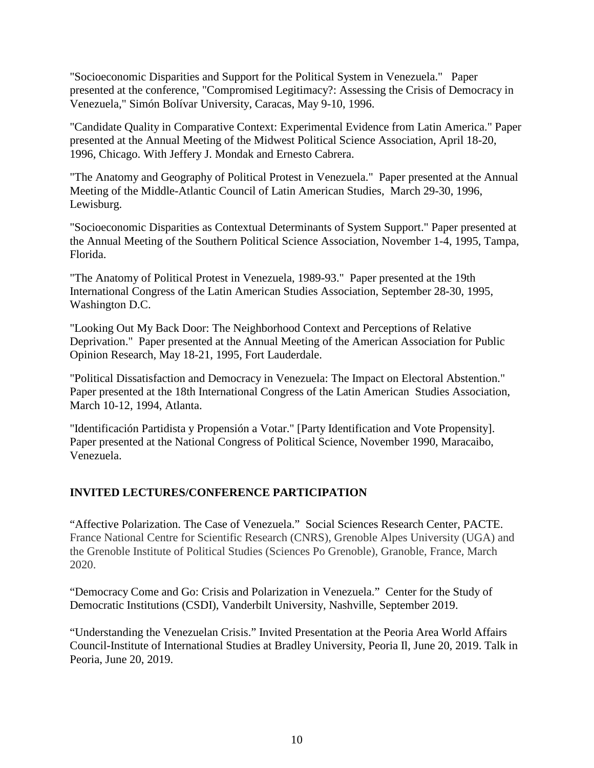"Socioeconomic Disparities and Support for the Political System in Venezuela." Paper presented at the conference, "Compromised Legitimacy?: Assessing the Crisis of Democracy in Venezuela," Simón Bolívar University, Caracas, May 9-10, 1996.

"Candidate Quality in Comparative Context: Experimental Evidence from Latin America." Paper presented at the Annual Meeting of the Midwest Political Science Association, April 18-20, 1996, Chicago. With Jeffery J. Mondak and Ernesto Cabrera.

"The Anatomy and Geography of Political Protest in Venezuela." Paper presented at the Annual Meeting of the Middle-Atlantic Council of Latin American Studies, March 29-30, 1996, Lewisburg.

"Socioeconomic Disparities as Contextual Determinants of System Support." Paper presented at the Annual Meeting of the Southern Political Science Association, November 1-4, 1995, Tampa, Florida.

"The Anatomy of Political Protest in Venezuela, 1989-93." Paper presented at the 19th International Congress of the Latin American Studies Association, September 28-30, 1995, Washington D.C.

"Looking Out My Back Door: The Neighborhood Context and Perceptions of Relative Deprivation." Paper presented at the Annual Meeting of the American Association for Public Opinion Research, May 18-21, 1995, Fort Lauderdale.

"Political Dissatisfaction and Democracy in Venezuela: The Impact on Electoral Abstention." Paper presented at the 18th International Congress of the Latin American Studies Association, March 10-12, 1994, Atlanta.

"Identificación Partidista y Propensión a Votar." [Party Identification and Vote Propensity]. Paper presented at the National Congress of Political Science, November 1990, Maracaibo, Venezuela.

# **INVITED LECTURES/CONFERENCE PARTICIPATION**

"Affective Polarization. The Case of Venezuela." Social Sciences Research Center, PACTE. France National Centre for Scientific Research (CNRS), Grenoble Alpes University (UGA) and the Grenoble Institute of Political Studies (Sciences Po Grenoble), Granoble, France, March 2020.

"Democracy Come and Go: Crisis and Polarization in Venezuela." Center for the Study of Democratic Institutions (CSDI), Vanderbilt University, Nashville, September 2019.

"Understanding the Venezuelan Crisis." Invited Presentation at the Peoria Area World Affairs Council-Institute of International Studies at Bradley University, Peoria Il, June 20, 2019. Talk in Peoria, June 20, 2019.